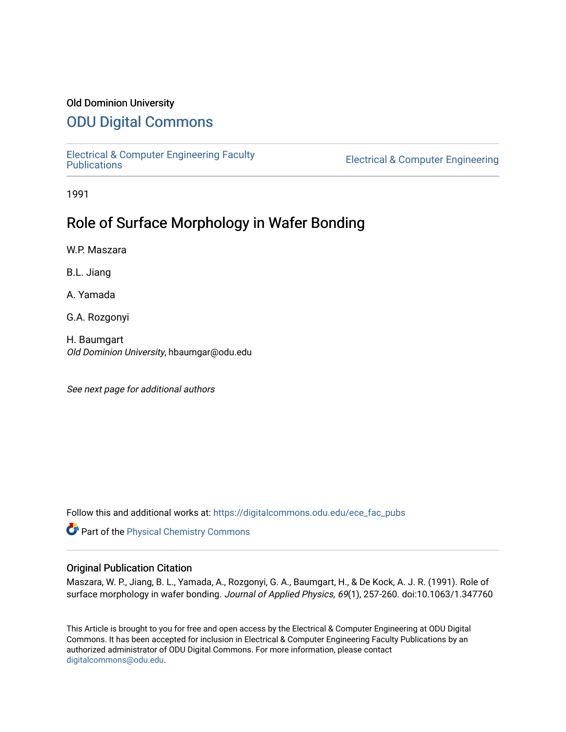# Old Dominion University

# [ODU Digital Commons](https://digitalcommons.odu.edu/)

[Electrical & Computer Engineering Faculty](https://digitalcommons.odu.edu/ece_fac_pubs) 

**Electrical & Computer Engineering** 

1991

# Role of Surface Morphology in Wafer Bonding

W.P. Maszara

B.L. Jiang

A. Yamada

G.A. Rozgonyi

H. Baumgart Old Dominion University, hbaumgar@odu.edu

See next page for additional authors

Follow this and additional works at: [https://digitalcommons.odu.edu/ece\\_fac\\_pubs](https://digitalcommons.odu.edu/ece_fac_pubs?utm_source=digitalcommons.odu.edu%2Fece_fac_pubs%2F241&utm_medium=PDF&utm_campaign=PDFCoverPages) 

Part of the [Physical Chemistry Commons](http://network.bepress.com/hgg/discipline/139?utm_source=digitalcommons.odu.edu%2Fece_fac_pubs%2F241&utm_medium=PDF&utm_campaign=PDFCoverPages) 

## Original Publication Citation

Maszara, W. P., Jiang, B. L., Yamada, A., Rozgonyi, G. A., Baumgart, H., & De Kock, A. J. R. (1991). Role of surface morphology in wafer bonding. Journal of Applied Physics, 69(1), 257-260. doi:10.1063/1.347760

This Article is brought to you for free and open access by the Electrical & Computer Engineering at ODU Digital Commons. It has been accepted for inclusion in Electrical & Computer Engineering Faculty Publications by an authorized administrator of ODU Digital Commons. For more information, please contact [digitalcommons@odu.edu](mailto:digitalcommons@odu.edu).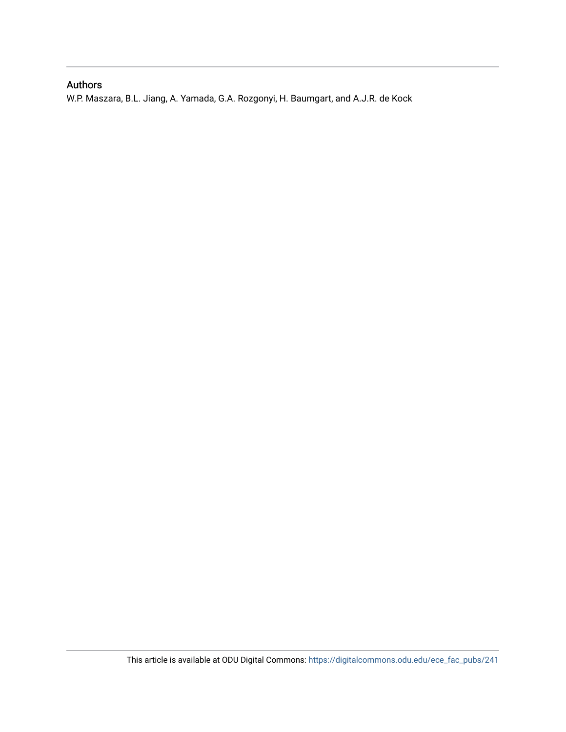# Authors

W.P. Maszara, B.L. Jiang, A. Yamada, G.A. Rozgonyi, H. Baumgart, and A.J.R. de Kock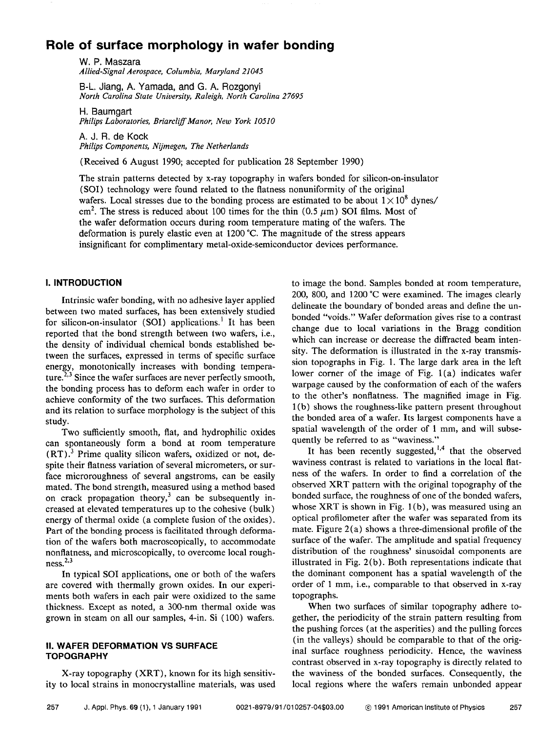# **Role of surface morphology in wafer bonding**

W. P. Maszara *Allied-Signal Aerospace, Columbia, Maryland 21045* 

B-L. Jiang, A. Yamada, and G. A. Rozgonyi *North Carolina State University, Raleigh, North Carolina 27695* 

H. Baumgart *Philips Laboratories, Briarcliff Manor, New York 10510* 

A. J. R. de Kock *Philips Components, Nijmegen, The Netherlands* 

(Received 6 August 1990; accepted for publication 28 September 1990)

The strain patterns detected by x-ray topography in wafers bonded for silicon-on-insulator **(SOI)** technology were found related to the flatness nonuniformity of the original wafers. Local stresses due to the bonding process are estimated to be about  $1 \times 10^8$  dynes/ cm<sup>2</sup>. The stress is reduced about 100 times for the thin (0.5  $\mu$ m) SOI films. Most of the wafer deformation occurs during room temperature mating of the wafers. The deformation is purely elastic even at 1200 °C. The magnitude of the stress appears insignificant for complimentary metal-oxide-semiconductor devices performance.

## I. **INTRODUCTION**

Intrinsic wafer bonding, with no adhesive layer applied between two mated surfaces, has been extensively studied for silicon-on-insulator **(SOI)** applications.<sup>1</sup> It has been reported that the bond strength between two wafers, i.e., the density of individual chemical bonds established between the surfaces, expressed in terms of specific surface energy, monotonically increases with bonding temperature.<sup>2,3</sup> Since the wafer surfaces are never perfectly smooth, the bonding process has to deform each wafer in order to achieve conformity of the two surfaces. This deformation and its relation to surface morphology is the subject of this study.

Two sufficiently smooth, flat, and hydrophilic oxides can spontaneously form a bond at room temperature **(RT). <sup>3</sup>**Prime quality silicon wafers, oxidized or not, despite their flatness variation of several micrometers, or surface microroughness of several angstroms, can be easily mated. The bond strength, measured using a method based on crack propagation theory,<sup>3</sup> can be subsequently increased at elevated temperatures up to the cohesive (bulk) energy of thermal oxide (a complete fusion of the oxides). Part of the bonding process is facilitated through deformation of the wafers both macroscopically, to accommodate nonflatness, and microscopically, to overcome local rough $ness.<sup>2,3</sup>$ 

In typical SOI applications, one or both of the wafers are covered with thermally grown oxides. In our experiments both wafers in each pair were oxidized to the same thickness. Except as noted, a 300-nm thermal oxide was grown in steam on all our samples, 4-in. Si ( 100) wafers.

### II. **WAFER DEFORMATION VS SURFACE TOPOGRAPHY**

X-ray topography (XRT), known for its high sensitivity to local strains in monocrystalline materials, was used to image the bond. Samples bonded at room temperature, 200, 800, and 1200 °C were examined. The images clearly delineate the boundary of bonded areas and define the unbonded "voids." Wafer deformation gives rise to a contrast change due to local variations in the Bragg condition which can increase or decrease the diffracted beam intensity. The deformation is illustrated in the x-ray transmission topographs in Fig. 1. The large dark area in the left lower corner of the image of Fig.  $1(a)$  indicates wafer warpage caused by the conformation of each of the wafers to the other's nonflatness. The magnified image in Fig. 1 (b) shows the roughness-like pattern present throughout the bonded area of a wafer. Its largest components have a spatial wavelength of the order of 1 mm, and will subsequently be referred to as "waviness."

It has been recently suggested,  $1,4$  that the observed waviness contrast is related to variations in the local flatness of the wafers. In order to find a correlation of the observed **XRT** pattern with the original topography of the bonded surface, the roughness of one of the bonded wafers, whose XRT is shown in Fig. 1(b), was measured using an optical profilometer after the wafer was separated from its mate. Figure 2(a) shows a three-dimensional profile of the surface of the wafer. The amplitude and spatial frequency distribution of the roughness' sinusoidal components are illustrated in Fig. 2(b). Both representations indicate that the dominant component has a spatial wavelength of the order of 1 mm, i.e., comparable to that observed in x-ray topographs.

When two surfaces of similar topography adhere together, the periodicity of the strain pattern resulting from the pushing forces ( at the asperities) and the pulling forces (in the valleys) should be comparable to that of the original surface roughness periodicity. Hence, the waviness contrast observed in x-ray topography is directly related to the waviness of the bonded surfaces. Consequently, the local regions where the wafers remain unbonded appear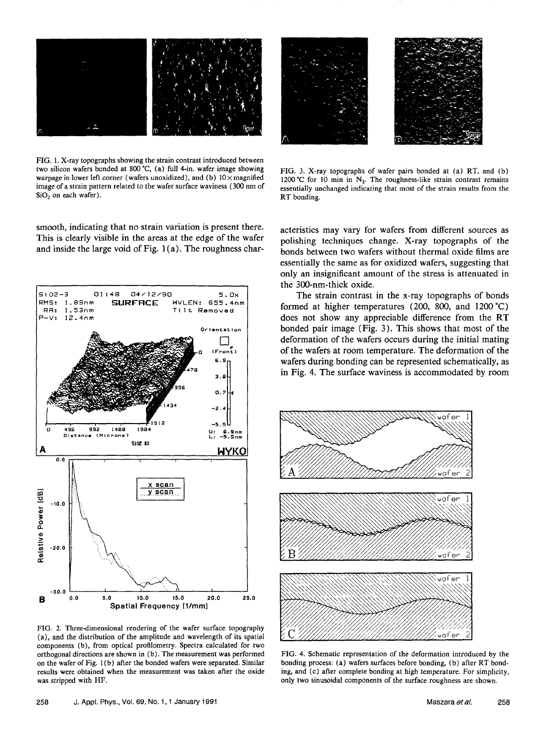

FIG. 1. X-ray topographs showing the strain contrast introduced between two silicon wafers bonded at 800 'C, (a) full 4-in. wafer image showing warpage in lower left corner (wafers unoxidized), and (b)  $10 \times$  magnified image of a strain pattern related to the wafer surface waviness ( 300 nm of  $SiO<sub>2</sub>$  on each wafer).

smooth, indicating that no strain variation is present there. This is clearly visible in the areas at the edge of the wafer and inside the large void of Fig. 1 (a). The roughness char-



FIG. 2. Three-dimensional rendering of the wafer surface topography (a), and the distribution of the amplitude and wavelength of its spatial components (b), from optical profilometry. Spectra calculated for two orthogonal directions are shown in (b). The measurement was performed on the wafer of Fig. 1(b) after the bonded wafers were separated. Similar results were obtained when the measurement was taken after the oxide was stripped with HF.



FIG. 3. X-ray topographs of wafer pairs bonded at (a) RT, and (b) 1200 °C for 10 min in N<sub>2</sub>. The roughness-like strain contrast remains essentially unchanged indicating that most of the strain results from the **RT** bonding.

acteristics may vary for wafers from different sources as polishing techniques change. X-ray topographs of the bonds between two wafers without thermal oxide films are essentially the same as for oxidized wafers, suggesting that only an insignificant amount of the stress is attenuated in the 300-nm-thick oxide.

The strain contrast in the x-ray topographs of bonds formed at higher temperatures (200, 800, and 1200 °C) does not show any appreciable difference from the **RT**  bonded pair image ( Fig. 3). This shows that most of the deformation of the wafers occurs during the initial mating of the wafers at room temperature. The deformation of the wafers during bonding can be represented schematically, as in Fig. 4. The surface waviness is accommodated by room



FIG. 4. Schematic representation of the deformation introduced by the bonding process: (a) wafers surfaces before bonding, (b) after RT bonding, and (c) after complete bonding at high temperature. For simplicity, only two sinusoidal components of the surface roughness are shown.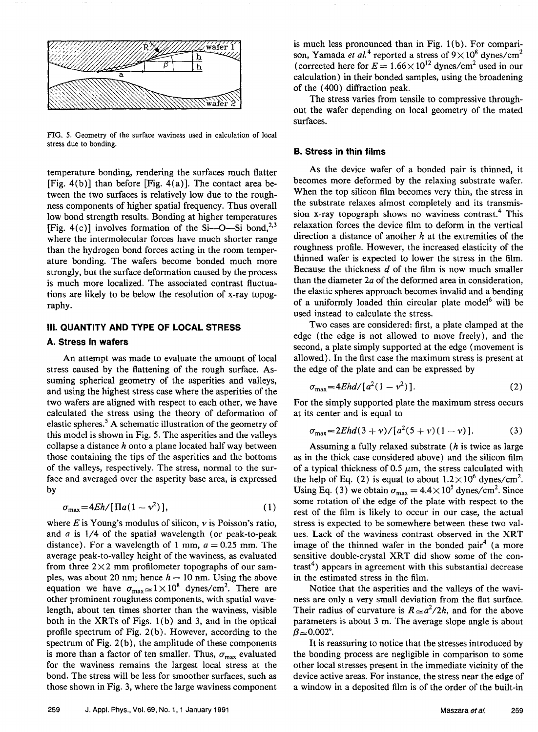

FIG. 5. Geometry of the surface waviness used in calculation of local stress due to bonding.

temperature bonding, rendering the surfaces much flatter [Fig.  $4(b)$ ] than before [Fig.  $4(a)$ ]. The contact area between the two surfaces is relatively low due to the roughness components of higher spatial frequency. Thus overall low bond strength results. Bonding at higher temperatures [Fig. 4(c)] involves formation of the Si- $\sim$ O-Si bond,<sup>2,3</sup> where the intermolecular forces have much shorter range than the hydrogen bond forces acting in the room temperature bonding. The wafers become bonded much more strongly, but the surface deformation caused by the process is much more localized. The associated contrast fluctuations are likely to be below the resolution of x-ray topography.

### **Ill. QUANTITY AND TYPE OF LOCAL STRESS**

#### **A. Stress in wafers**

An attempt was made to evaluate the amount of local stress caused by the flattening of the rough surface. Assuming spherical geometry of the asperities and valleys, and using the highest stress case where the asperities of the two wafers are aligned with respect to each other, we have calculated the stress using the theory of deformation of elastic spheres. 5 **A** schematic illustration of the geometry of this model is shown in Fig. 5. The asperities and the valleys collapse a distance  $h$  onto a plane located half way between those containing the tips of the asperities and the bottoms of the valleys, respectively. The stress, normal to the surface and averaged over the asperity base area, is expressed by

$$
\sigma_{\text{max}} = 4Eh/[\Pi a(1-\nu^2)],\tag{1}
$$

where  $E$  is Young's modulus of silicon,  $\nu$  is Poisson's ratio, and *a* is 1/4 of the spatial wavelength (or peak-to-peak distance). For a wavelength of 1 mm,  $a = 0.25$  mm. The average peak-to-valley height of the waviness, as evaluated from three  $2 \times 2$  mm profilometer topographs of our samples, was about 20 nm; hence  $h = 10$  nm. Using the above equation we have  $\sigma_{\text{max}} \approx 1 \times 10^8$  dynes/cm<sup>2</sup>. There are other prominent roughness components, with spatial wavelength, about ten times shorter than the waviness, visible both in the **XRTs** of Figs. l (b) and 3, and in the optical profile spectrum of Fig. 2(b). However, according to the spectrum of Fig.  $2(b)$ , the amplitude of these components is more than a factor of ten smaller. Thus,  $\sigma_{\text{max}}$  evaluated for the waviness remains the largest local stress at the bond. The stress will be less for smoother surfaces, such as those shown in Fig. 3, where the large waviness component

is much less pronounced than in Fig. l(b). For comparison, Yamada *et al.*<sup>4</sup> reported a stress of  $9 \times 10^8$  dynes/cm<sup>2</sup> (corrected here for  $E = 1.66 \times 10^{12}$  dynes/cm<sup>2</sup> used in our calculation) in their bonded samples, using the broadening of the ( 400) diffraction peak.

The stress varies from tensile to compressive throughout the wafer depending on local geometry of the mated surfaces.

#### **B. Stress in thin films**

As the device wafer of a bonded pair is thinned, it becomes more deformed by the relaxing substrate wafer. When the top silicon film becomes very thin, the stress in the substrate relaxes almost completely and its transmission x-ray topograph shows no waviness contrast.4 This relaxation forces the device film to deform in the vertical direction a distance of another *h* at the extremities of the roughness profile. However, the increased elasticity of the thinned wafer is expected to lower the stress in the film. Because the thickness  $d$  of the film is now much smaller than the diameter  $2a$  of the deformed area in consideration, the elastic spheres approach becomes invalid and a bending of a uniformly loaded thin circular plate model $6$  will be used instead to calculate the stress.

Two cases are considered: first, a plate clamped at the edge ( the edge is not allowed to move freely), and the second, a plate simply supported at the edge (movement is allowed). In the first case the maximum stress is present at the edge of the plate and can be expressed by

$$
\sigma_{\text{max}} = 4Ehd/[a^2(1 - v^2)].\tag{2}
$$

For the simply supported plate the maximum stress occurs at its center and is equal to

$$
\sigma_{\text{max}} = 2Ehd(3+\nu)/[a^2(5+\nu)(1-\nu)].
$$
 (3)

Assuming a fully relaxed substrate (h is twice as large as in the thick case considered above) and the silicon film of a typical thickness of 0.5  $\mu$ m, the stress calculated with the help of Eq. (2) is equal to about  $1.2 \times 10^6$  dynes/cm<sup>2</sup>. Using Eq. (3) we obtain  $\sigma_{\text{max}} = 4.4 \times 10^5$  dynes/cm<sup>2</sup>. Since some rotation of the edge of the plate with respect to the rest of the film is likely to occur in our case, the actual stress is expected to be somewhere between these two values. Lack of the waviness contrast observed in the **XRT**  image of the thinned wafer in the bonded pair<sup>4</sup> (a more sensitive double-crystal XRT did show some of the con- $\text{trast}^4$ ) appears in agreement with this substantial decrease in the estimated stress in the film.

Notice that the asperities and the valleys of the waviness are only a very small deviation from the flat surface. Their radius of curvature is  $R \approx a^2/2h$ , and for the above parameters is about 3 m. The average slope angle is about  $\beta \approx 0.002$ °.

It is reassuring to notice that the stresses introduced by the bonding process are negligible in comparison to some other local stresses present in the immediate vicinity of the device active areas. For instance, the stress near the edge of a window in a deposited film is of the order of the built-in